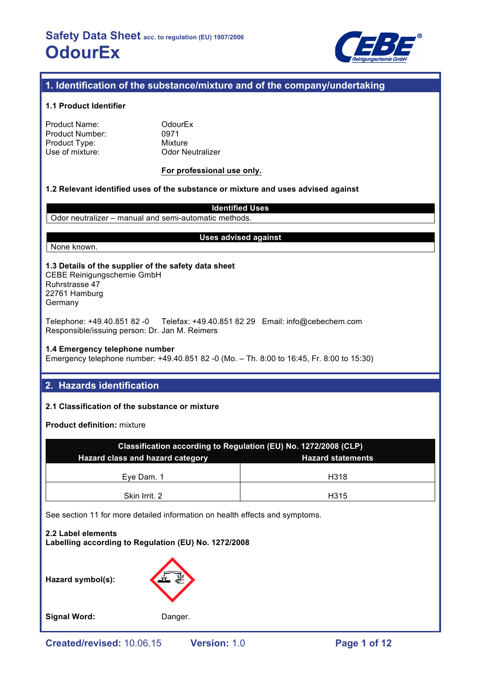

# **1. Identification of the substance/mixture and of the company/undertaking**

### **1.1 Product Identifier**

| Product Name:   |
|-----------------|
| Product Number: |
| Product Type:   |
| Use of mixture: |

**OdourEx** 0971 **Mixture Odor Neutralizer** 

### **For professional use only.**

### **1.2 Relevant identified uses of the substance or mixture and uses advised against**

**Identified Uses** Odor neutralizer – manual and semi-automatic methods.

### **Uses advised against**

None known.

### **1.3 Details of the supplier of the safety data sheet**

CEBE Reinigungschemie GmbH Ruhrstrasse 47 22761 Hamburg **Germany** 

Telephone: +49.40.851 82 -0 Telefax: +49.40.851 82 29 Email: info@cebechem.com Responsible/issuing person: Dr. Jan M. Reimers

### **1.4 Emergency telephone number**

Emergency telephone number: +49.40.851 82 -0 (Mo. – Th. 8:00 to 16:45, Fr. 8:00 to 15:30)

# **2. Hazards identification**

### **2.1 Classification of the substance or mixture**

**Product definition:** mixture

| Classification according to Regulation (EU) No. 1272/2008 (CLP) |      |  |  |  |
|-----------------------------------------------------------------|------|--|--|--|
| Hazard class and hazard category<br><b>Hazard statements</b>    |      |  |  |  |
|                                                                 |      |  |  |  |
| Eve Dam, 1                                                      | H318 |  |  |  |
| Skin Irrit. 2                                                   | H315 |  |  |  |

See section 11 for more detailed information on health effects and symptoms.

**2.2 Label elements Labelling according to Regulation (EU) No. 1272/2008**

**Hazard symbol(s):**



**Signal Word:** Danger.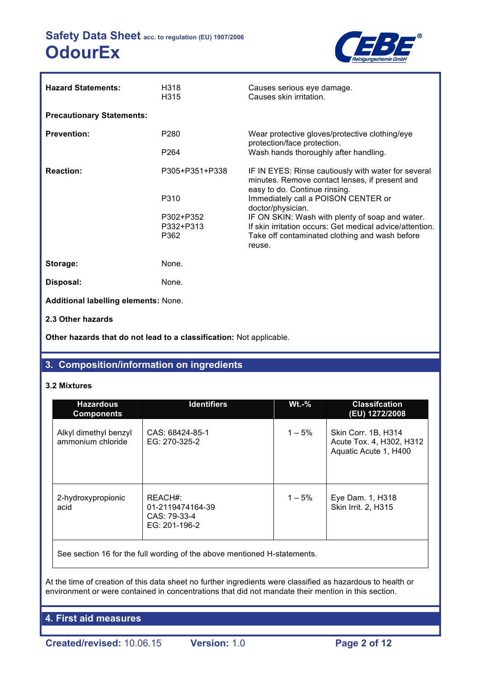

| <b>Hazard Statements:</b>                   | H318<br>H315           | Causes serious eye damage.<br>Causes skin irritation.                                                                                  |
|---------------------------------------------|------------------------|----------------------------------------------------------------------------------------------------------------------------------------|
| <b>Precautionary Statements:</b>            |                        |                                                                                                                                        |
| <b>Prevention:</b>                          | P <sub>280</sub>       | Wear protective gloves/protective clothing/eye<br>protection/face protection.                                                          |
|                                             | P <sub>264</sub>       | Wash hands thoroughly after handling.                                                                                                  |
| <b>Reaction:</b>                            | P305+P351+P338         | IF IN EYES: Rinse cautiously with water for several<br>minutes. Remove contact lenses, if present and<br>easy to do. Continue rinsing. |
|                                             | P310                   | Immediately call a POISON CENTER or<br>doctor/physician.                                                                               |
|                                             | P302+P352<br>P332+P313 | IF ON SKIN: Wash with plenty of soap and water.<br>If skin irritation occurs: Get medical advice/attention.                            |
|                                             | P362                   | Take off contaminated clothing and wash before<br>reuse.                                                                               |
| Storage:                                    | None.                  |                                                                                                                                        |
| Disposal:                                   | None.                  |                                                                                                                                        |
| <b>Additional labelling elements: None.</b> |                        |                                                                                                                                        |
| 2.3 Other hazards                           |                        |                                                                                                                                        |

**Other hazards that do not lead to a classification:** Not applicable.

# **3. Composition/information on ingredients**

### **3.2 Mixtures**

| <b>Hazardous</b><br><b>Components</b>      | <b>Identifiers</b>                                           | $Wt.-%$   | <b>Classifcation</b><br>(EU) 1272/2008                                   |
|--------------------------------------------|--------------------------------------------------------------|-----------|--------------------------------------------------------------------------|
| Alkyl dimethyl benzyl<br>ammonium chloride | CAS: 68424-85-1<br>EG: 270-325-2                             | $1 - 5%$  | Skin Corr. 1B, H314<br>Acute Tox. 4, H302, H312<br>Aquatic Acute 1, H400 |
| 2-hydroxypropionic<br>acid                 | REACH#:<br>01-2119474164-39<br>CAS: 79-33-4<br>EG: 201-196-2 | $1 - 5\%$ | Eye Dam. 1, H318<br><b>Skin Irrit. 2, H315</b>                           |

See section 16 for the full wording of the above mentioned H-statements.

At the time of creation of this data sheet no further ingredients were classified as hazardous to health or environment or were contained in concentrations that did not mandate their mention in this section.

**4. First aid measures**

**Created/revised:** 10.06.15 **Version:** 1.0 **Page 2 of 12**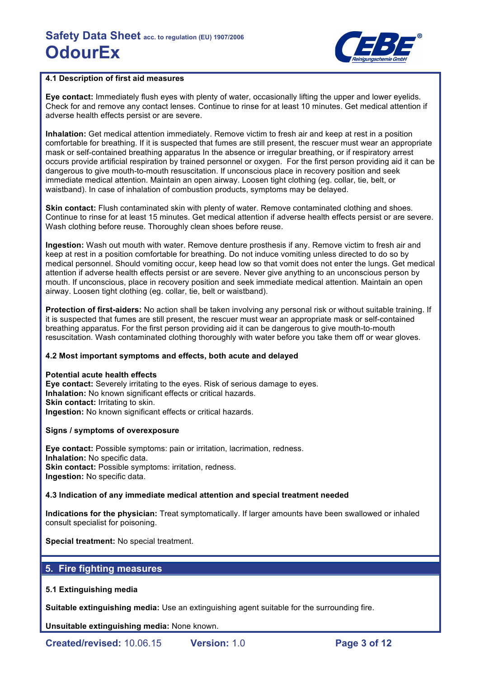

### **4.1 Description of first aid measures**

**Eye contact:** Immediately flush eyes with plenty of water, occasionally lifting the upper and lower eyelids. Check for and remove any contact lenses. Continue to rinse for at least 10 minutes. Get medical attention if adverse health effects persist or are severe.

**Inhalation:** Get medical attention immediately. Remove victim to fresh air and keep at rest in a position comfortable for breathing. If it is suspected that fumes are still present, the rescuer must wear an appropriate mask or self-contained breathing apparatus In the absence or irregular breathing, or if respiratory arrest occurs provide artificial respiration by trained personnel or oxygen. For the first person providing aid it can be dangerous to give mouth-to-mouth resuscitation. If unconscious place in recovery position and seek immediate medical attention. Maintain an open airway. Loosen tight clothing (eg. collar, tie, belt, or waistband). In case of inhalation of combustion products, symptoms may be delayed.

**Skin contact:** Flush contaminated skin with plenty of water. Remove contaminated clothing and shoes. Continue to rinse for at least 15 minutes. Get medical attention if adverse health effects persist or are severe. Wash clothing before reuse. Thoroughly clean shoes before reuse.

**Ingestion:** Wash out mouth with water. Remove denture prosthesis if any. Remove victim to fresh air and keep at rest in a position comfortable for breathing. Do not induce vomiting unless directed to do so by medical personnel. Should vomiting occur, keep head low so that vomit does not enter the lungs. Get medical attention if adverse health effects persist or are severe. Never give anything to an unconscious person by mouth. If unconscious, place in recovery position and seek immediate medical attention. Maintain an open airway. Loosen tight clothing (eg. collar, tie, belt or waistband).

**Protection of first-aiders:** No action shall be taken involving any personal risk or without suitable training. If it is suspected that fumes are still present, the rescuer must wear an appropriate mask or self-contained breathing apparatus. For the first person providing aid it can be dangerous to give mouth-to-mouth resuscitation. Wash contaminated clothing thoroughly with water before you take them off or wear gloves.

### **4.2 Most important symptoms and effects, both acute and delayed**

### **Potential acute health effects**

**Eye contact:** Severely irritating to the eyes. Risk of serious damage to eyes. **Inhalation:** No known significant effects or critical hazards. **Skin contact: Irritating to skin. Ingestion:** No known significant effects or critical hazards.

### **Signs / symptoms of overexposure**

**Eye contact:** Possible symptoms: pain or irritation, lacrimation, redness. **Inhalation:** No specific data. **Skin contact: Possible symptoms: irritation, redness. Ingestion:** No specific data.

### **4.3 Indication of any immediate medical attention and special treatment needed**

**Indications for the physician:** Treat symptomatically. If larger amounts have been swallowed or inhaled consult specialist for poisoning.

**Special treatment:** No special treatment.

# **5. Fire fighting measures**

### **5.1 Extinguishing media**

**Suitable extinguishing media:** Use an extinguishing agent suitable for the surrounding fire.

**Unsuitable extinguishing media:** None known.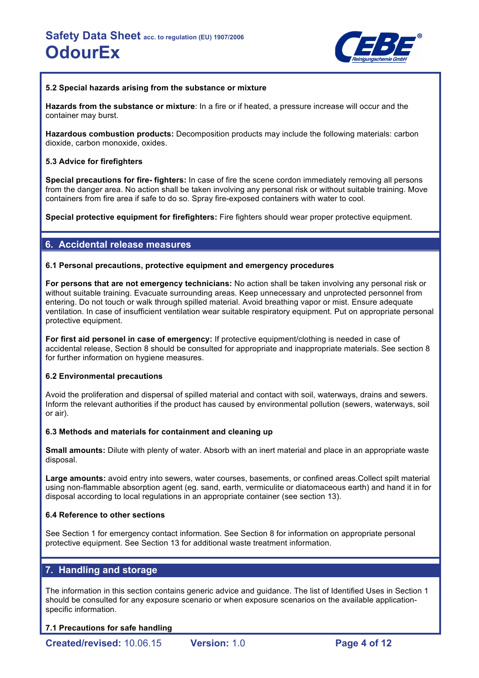

### **5.2 Special hazards arising from the substance or mixture**

**Hazards from the substance or mixture**: In a fire or if heated, a pressure increase will occur and the container may burst.

**Hazardous combustion products:** Decomposition products may include the following materials: carbon dioxide, carbon monoxide, oxides.

### **5.3 Advice for firefighters**

**Special precautions for fire- fighters:** In case of fire the scene cordon immediately removing all persons from the danger area. No action shall be taken involving any personal risk or without suitable training. Move containers from fire area if safe to do so. Spray fire-exposed containers with water to cool.

**Special protective equipment for firefighters:** Fire fighters should wear proper protective equipment.

### **6. Accidental release measures**

### **6.1 Personal precautions, protective equipment and emergency procedures**

**For persons that are not emergency technicians:** No action shall be taken involving any personal risk or without suitable training. Evacuate surrounding areas. Keep unnecessary and unprotected personnel from entering. Do not touch or walk through spilled material. Avoid breathing vapor or mist. Ensure adequate ventilation. In case of insufficient ventilation wear suitable respiratory equipment. Put on appropriate personal protective equipment.

**For first aid personel in case of emergency:** If protective equipment/clothing is needed in case of accidental release, Section 8 should be consulted for appropriate and inappropriate materials. See section 8 for further information on hygiene measures.

### **6.2 Environmental precautions**

Avoid the proliferation and dispersal of spilled material and contact with soil, waterways, drains and sewers. Inform the relevant authorities if the product has caused by environmental pollution (sewers, waterways, soil or air).

### **6.3 Methods and materials for containment and cleaning up**

**Small amounts:** Dilute with plenty of water. Absorb with an inert material and place in an appropriate waste disposal.

**Large amounts:** avoid entry into sewers, water courses, basements, or confined areas.Collect spilt material using non-flammable absorption agent (eg. sand, earth, vermiculite or diatomaceous earth) and hand it in for disposal according to local regulations in an appropriate container (see section 13).

### **6.4 Reference to other sections**

See Section 1 for emergency contact information. See Section 8 for information on appropriate personal protective equipment. See Section 13 for additional waste treatment information.

# **7. Handling and storage**

The information in this section contains generic advice and guidance. The list of Identified Uses in Section 1 should be consulted for any exposure scenario or when exposure scenarios on the available applicationspecific information.

### **7.1 Precautions for safe handling**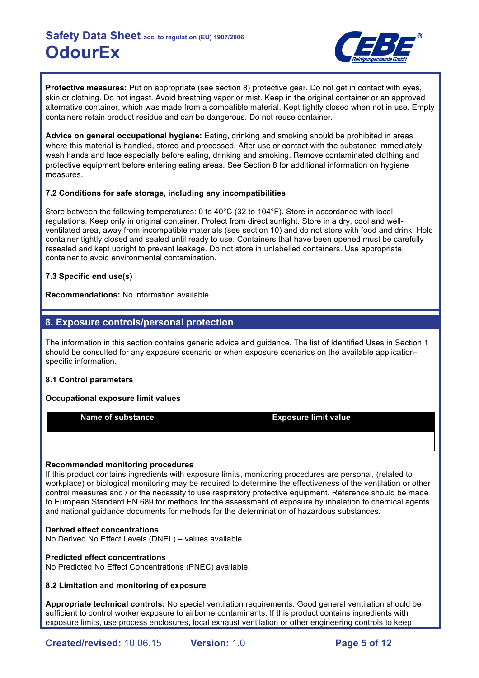

**Protective measures:** Put on appropriate (see section 8) protective gear. Do not get in contact with eyes, skin or clothing. Do not ingest. Avoid breathing vapor or mist. Keep in the original container or an approved alternative container, which was made from a compatible material. Kept tightly closed when not in use. Empty containers retain product residue and can be dangerous. Do not reuse container.

**Advice on general occupational hygiene:** Eating, drinking and smoking should be prohibited in areas where this material is handled, stored and processed. After use or contact with the substance immediately wash hands and face especially before eating, drinking and smoking. Remove contaminated clothing and protective equipment before entering eating areas. See Section 8 for additional information on hygiene measures.

### **7.2 Conditions for safe storage, including any incompatibilities**

Store between the following temperatures: 0 to 40°C (32 to 104°F). Store in accordance with local regulations. Keep only in original container. Protect from direct sunlight. Store in a dry, cool and wellventilated area, away from incompatible materials (see section 10) and do not store with food and drink. Hold container tightly closed and sealed until ready to use. Containers that have been opened must be carefully resealed and kept upright to prevent leakage. Do not store in unlabelled containers. Use appropriate container to avoid environmental contamination.

### **7.3 Specific end use(s)**

**Recommendations:** No information available.

# **8. Exposure controls/personal protection**

The information in this section contains generic advice and guidance. The list of Identified Uses in Section 1 should be consulted for any exposure scenario or when exposure scenarios on the available applicationspecific information.

### **8.1 Control parameters**

### **Occupational exposure limit values**

| Name of substance | <b>Exposure limit value</b> |
|-------------------|-----------------------------|
|                   |                             |

### **Recommended monitoring procedures**

If this product contains ingredients with exposure limits, monitoring procedures are personal, (related to workplace) or biological monitoring may be required to determine the effectiveness of the ventilation or other control measures and / or the necessity to use respiratory protective equipment. Reference should be made to European Standard EN 689 for methods for the assessment of exposure by inhalation to chemical agents and national guidance documents for methods for the determination of hazardous substances.

### **Derived effect concentrations**

No Derived No Effect Levels (DNEL) – values available.

### **Predicted effect concentrations**

No Predicted No Effect Concentrations (PNEC) available.

### **8.2 Limitation and monitoring of exposure**

**Appropriate technical controls:** No special ventilation requirements. Good general ventilation should be sufficient to control worker exposure to airborne contaminants. If this product contains ingredients with exposure limits, use process enclosures, local exhaust ventilation or other engineering controls to keep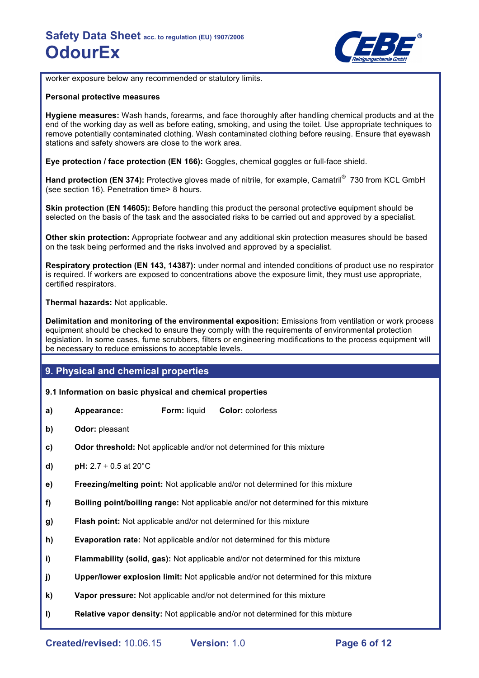

worker exposure below any recommended or statutory limits.

#### **Personal protective measures**

**Hygiene measures:** Wash hands, forearms, and face thoroughly after handling chemical products and at the end of the working day as well as before eating, smoking, and using the toilet. Use appropriate techniques to remove potentially contaminated clothing. Wash contaminated clothing before reusing. Ensure that eyewash stations and safety showers are close to the work area.

**Eye protection / face protection (EN 166):** Goggles, chemical goggles or full-face shield.

Hand protection (EN 374): Protective gloves made of nitrile, for example, Camatril<sup>®</sup> 730 from KCL GmbH (see section 16). Penetration time> 8 hours.

**Skin protection (EN 14605):** Before handling this product the personal protective equipment should be selected on the basis of the task and the associated risks to be carried out and approved by a specialist.

**Other skin protection:** Appropriate footwear and any additional skin protection measures should be based on the task being performed and the risks involved and approved by a specialist.

**Respiratory protection (EN 143, 14387):** under normal and intended conditions of product use no respirator is required. If workers are exposed to concentrations above the exposure limit, they must use appropriate, certified respirators.

**Thermal hazards:** Not applicable.

**Delimitation and monitoring of the environmental exposition:** Emissions from ventilation or work process equipment should be checked to ensure they comply with the requirements of environmental protection legislation. In some cases, fume scrubbers, filters or engineering modifications to the process equipment will be necessary to reduce emissions to acceptable levels.

### **9. Physical and chemical properties**

### **9.1 Information on basic physical and chemical properties**

- **a) Appearance: Form:** liquid **Color:** colorless
- **b) Odor:** pleasant
- **c) Odor threshold:** Not applicable and/or not determined for this mixture
- **d) pH:**  $2.7 \pm 0.5$  at  $20^{\circ}$ C
- **e) Freezing/melting point:** Not applicable and/or not determined for this mixture
- **f) Boiling point/boiling range:** Not applicable and/or not determined for this mixture
- **g) Flash point:** Not applicable and/or not determined for this mixture
- **h) Evaporation rate:** Not applicable and/or not determined for this mixture
- **i) Flammability (solid, gas):** Not applicable and/or not determined for this mixture
- **j) Upper/lower explosion limit:** Not applicable and/or not determined for this mixture
- **k) Vapor pressure:** Not applicable and/or not determined for this mixture
- **l) Relative vapor density:** Not applicable and/or not determined for this mixture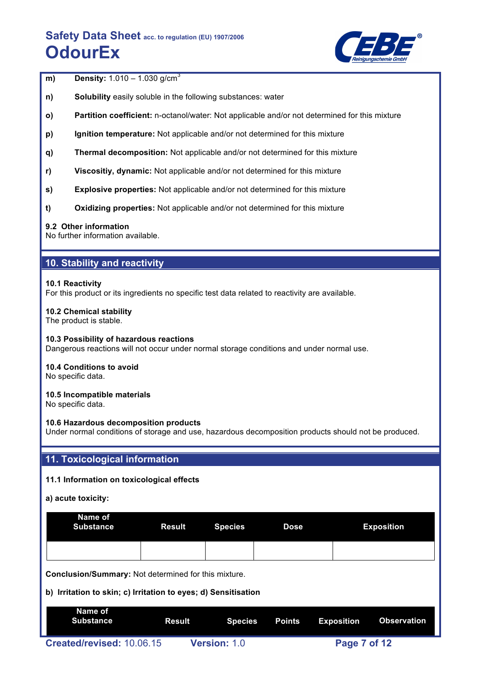

| m) | <b>Density:</b> $1.010 - 1.030$ g/cm <sup>3</sup> |  |
|----|---------------------------------------------------|--|
|    |                                                   |  |

- **n) Solubility** easily soluble in the following substances: water
- **o) Partition coefficient:** n-octanol/water: Not applicable and/or not determined for this mixture
- **p) Ignition temperature:** Not applicable and/or not determined for this mixture
- **q) Thermal decomposition:** Not applicable and/or not determined for this mixture
- **r) Viscositiy, dynamic:** Not applicable and/or not determined for this mixture
- **s) Explosive properties:** Not applicable and/or not determined for this mixture
- **t) Oxidizing properties:** Not applicable and/or not determined for this mixture

### **9.2 Other information**

No further information available.

# **10. Stability and reactivity**

### **10.1 Reactivity**

For this product or its ingredients no specific test data related to reactivity are available.

### **10.2 Chemical stability**

The product is stable.

### **10.3 Possibility of hazardous reactions**

Dangerous reactions will not occur under normal storage conditions and under normal use.

#### **10.4 Conditions to avoid** No specific data.

### **10.5 Incompatible materials**

No specific data.

### **10.6 Hazardous decomposition products**

Under normal conditions of storage and use, hazardous decomposition products should not be produced.

### **11. Toxicological information**

### **11.1 Information on toxicological effects**

### **a) acute toxicity:**

| Name of<br><b>Substance</b> | Result | Species | <b>Dose</b> | <b>Exposition</b> |
|-----------------------------|--------|---------|-------------|-------------------|
|                             |        |         |             |                   |

**Conclusion/Summary:** Not determined for this mixture.

### **b) Irritation to skin; c) Irritation to eyes; d) Sensitisation**

| Name of<br>Substance      | Result |                     | Species Points | Exposition   | Observation |
|---------------------------|--------|---------------------|----------------|--------------|-------------|
| Created/revised: 10.06.15 |        | <b>Version: 1.0</b> |                | Page 7 of 12 |             |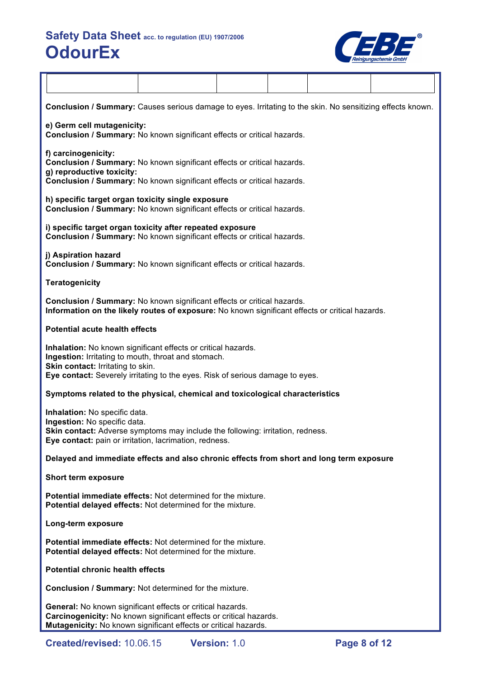

| Conclusion / Summary: Causes serious damage to eyes. Irritating to the skin. No sensitizing effects known.                                                                                                                                 |  |  |  |
|--------------------------------------------------------------------------------------------------------------------------------------------------------------------------------------------------------------------------------------------|--|--|--|
| e) Germ cell mutagenicity:<br>Conclusion / Summary: No known significant effects or critical hazards.                                                                                                                                      |  |  |  |
| f) carcinogenicity:<br>Conclusion / Summary: No known significant effects or critical hazards.<br>g) reproductive toxicity:<br>Conclusion / Summary: No known significant effects or critical hazards.                                     |  |  |  |
| h) specific target organ toxicity single exposure<br>Conclusion / Summary: No known significant effects or critical hazards.                                                                                                               |  |  |  |
| i) specific target organ toxicity after repeated exposure<br>Conclusion / Summary: No known significant effects or critical hazards.                                                                                                       |  |  |  |
| j) Aspiration hazard<br>Conclusion / Summary: No known significant effects or critical hazards.                                                                                                                                            |  |  |  |
| <b>Teratogenicity</b>                                                                                                                                                                                                                      |  |  |  |
| Conclusion / Summary: No known significant effects or critical hazards.<br>Information on the likely routes of exposure: No known significant effects or critical hazards.                                                                 |  |  |  |
| <b>Potential acute health effects</b>                                                                                                                                                                                                      |  |  |  |
| Inhalation: No known significant effects or critical hazards.<br>Ingestion: Irritating to mouth, throat and stomach.<br>Skin contact: Irritating to skin.<br>Eye contact: Severely irritating to the eyes. Risk of serious damage to eyes. |  |  |  |
| Symptoms related to the physical, chemical and toxicological characteristics                                                                                                                                                               |  |  |  |
| Inhalation: No specific data.<br>Ingestion: No specific data.<br>Skin contact: Adverse symptoms may include the following: irritation, redness.<br>Eye contact: pain or irritation, lacrimation, redness.                                  |  |  |  |
| Delayed and immediate effects and also chronic effects from short and long term exposure                                                                                                                                                   |  |  |  |
| <b>Short term exposure</b>                                                                                                                                                                                                                 |  |  |  |
| <b>Potential immediate effects:</b> Not determined for the mixture.<br>Potential delayed effects: Not determined for the mixture.                                                                                                          |  |  |  |
| Long-term exposure                                                                                                                                                                                                                         |  |  |  |
| <b>Potential immediate effects:</b> Not determined for the mixture.<br>Potential delayed effects: Not determined for the mixture.                                                                                                          |  |  |  |
| <b>Potential chronic health effects</b>                                                                                                                                                                                                    |  |  |  |
| Conclusion / Summary: Not determined for the mixture.                                                                                                                                                                                      |  |  |  |
| General: No known significant effects or critical hazards.<br>Carcinogenicity: No known significant effects or critical hazards.<br>Mutagenicity: No known significant effects or critical hazards.                                        |  |  |  |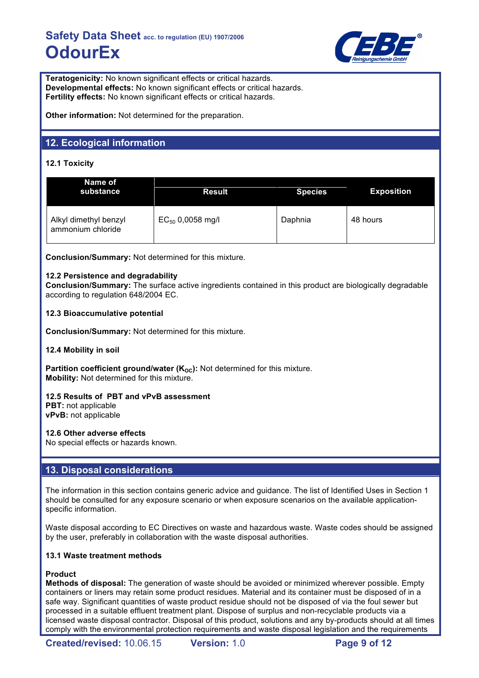

**Teratogenicity:** No known significant effects or critical hazards. **Developmental effects:** No known significant effects or critical hazards. **Fertility effects:** No known significant effects or critical hazards.

**Other information:** Not determined for the preparation.

# **12. Ecological information**

# **12.1 Toxicity**

| Name of<br>substance                       | <b>Result</b>         | <b>Species</b> | <b>Exposition</b> |
|--------------------------------------------|-----------------------|----------------|-------------------|
| Alkyl dimethyl benzyl<br>ammonium chloride | $EC_{50}$ 0,0058 mg/l | Daphnia        | 48 hours          |

**Conclusion/Summary:** Not determined for this mixture.

### **12.2 Persistence and degradability**

**Conclusion/Summary:** The surface active ingredients contained in this product are biologically degradable according to regulation 648/2004 EC.

### **12.3 Bioaccumulative potential**

**Conclusion/Summary:** Not determined for this mixture.

### **12.4 Mobility in soil**

**Partition coefficient ground/water (K<sub>OC</sub>):** Not determined for this mixture. **Mobility:** Not determined for this mixture.

### **12.5 Results of PBT and vPvB assessment**

**PBT:** not applicable **vPvB:** not applicable

### **12.6 Other adverse effects**

No special effects or hazards known.

# **13. Disposal considerations**

The information in this section contains generic advice and guidance. The list of Identified Uses in Section 1 should be consulted for any exposure scenario or when exposure scenarios on the available applicationspecific information.

Waste disposal according to EC Directives on waste and hazardous waste. Waste codes should be assigned by the user, preferably in collaboration with the waste disposal authorities.

### **13.1 Waste treatment methods**

### **Product**

**Methods of disposal:** The generation of waste should be avoided or minimized wherever possible. Empty containers or liners may retain some product residues. Material and its container must be disposed of in a safe way. Significant quantities of waste product residue should not be disposed of via the foul sewer but processed in a suitable effluent treatment plant. Dispose of surplus and non-recyclable products via a licensed waste disposal contractor. Disposal of this product, solutions and any by-products should at all times comply with the environmental protection requirements and waste disposal legislation and the requirements

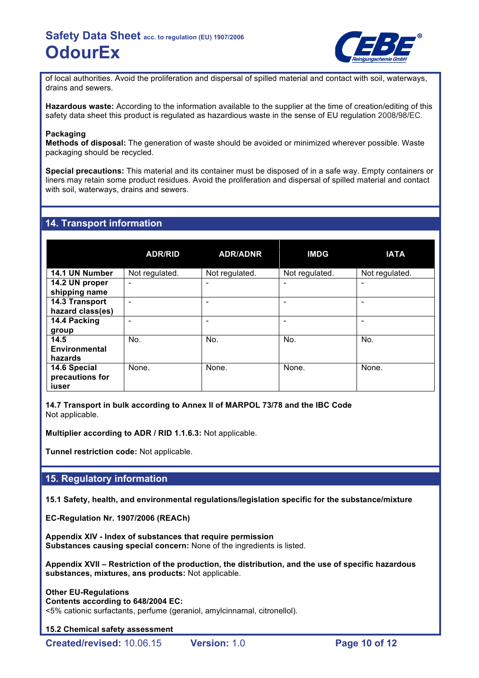

of local authorities. Avoid the proliferation and dispersal of spilled material and contact with soil, waterways, drains and sewers.

**Hazardous waste:** According to the information available to the supplier at the time of creation/editing of this safety data sheet this product is regulated as hazardious waste in the sense of EU regulation 2008/98/EC.

### **Packaging**

**Methods of disposal:** The generation of waste should be avoided or minimized wherever possible. Waste packaging should be recycled.

**Special precautions:** This material and its container must be disposed of in a safe way. Empty containers or liners may retain some product residues. Avoid the proliferation and dispersal of spilled material and contact with soil, waterways, drains and sewers.

### **14. Transport information**

|                                          | <b>ADR/RID</b> | <b>ADR/ADNR</b> | <b>IMDG</b>    | <b>IATA</b>    |
|------------------------------------------|----------------|-----------------|----------------|----------------|
| 14.1 UN Number                           | Not regulated. | Not regulated.  | Not regulated. | Not regulated. |
| 14.2 UN proper<br>shipping name          | ۰              |                 | ۰              |                |
| 14.3 Transport<br>hazard class(es)       |                |                 |                |                |
| 14.4 Packing<br>group                    |                |                 |                |                |
| 14.5<br>Environmental<br>hazards         | No.            | No.             | No.            | No.            |
| 14.6 Special<br>precautions for<br>iuser | None.          | None.           | None.          | None.          |

**14.7 Transport in bulk according to Annex II of MARPOL 73/78 and the IBC Code** Not applicable.

**Multiplier according to ADR / RID 1.1.6.3:** Not applicable.

**Tunnel restriction code:** Not applicable.

### **15. Regulatory information**

**15.1 Safety, health, and environmental regulations/legislation specific for the substance/mixture**

**EC-Regulation Nr. 1907/2006 (REACh)**

**Appendix XIV - Index of substances that require permission Substances causing special concern:** None of the ingredients is listed.

**Appendix XVII – Restriction of the production, the distribution, and the use of specific hazardous substances, mixtures, ans products:** Not applicable.

**Other EU-Regulations Contents according to 648/2004 EC:** <5% cationic surfactants, perfume (geraniol, amylcinnamal, citronellol).

**15.2 Chemical safety assessment**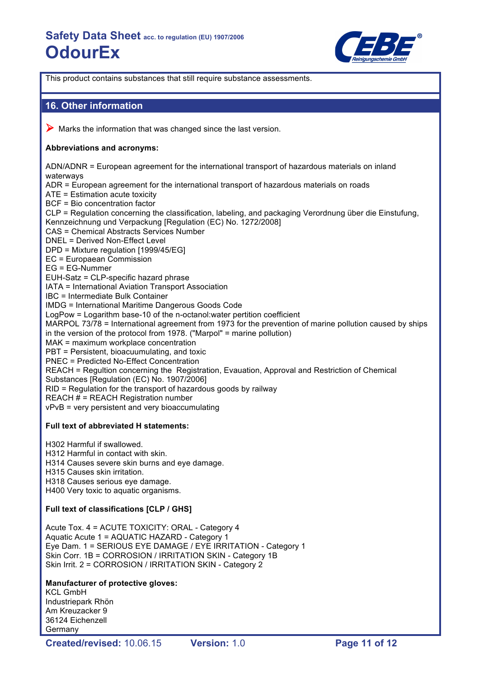

This product contains substances that still require substance assessments.

### **16. Other information**

 $\triangleright$  Marks the information that was changed since the last version.

### **Abbreviations and acronyms:**

ADN/ADNR = European agreement for the international transport of hazardous materials on inland waterways ADR = European agreement for the international transport of hazardous materials on roads ATE = Estimation acute toxicity BCF = Bio concentration factor CLP = Regulation concerning the classification, labeling, and packaging Verordnung über die Einstufung, Kennzeichnung und Verpackung [Regulation (EC) No. 1272/2008] CAS = Chemical Abstracts Services Number DNEL = Derived Non-Effect Level DPD = Mixture regulation [1999/45/EG] EC = Europaean Commission EG = EG-Nummer EUH-Satz = CLP-specific hazard phrase IATA = International Aviation Transport Association IBC = Intermediate Bulk Container IMDG = International Maritime Dangerous Goods Code LogPow = Logarithm base-10 of the n-octanol:water pertition coefficient MARPOL 73/78 = International agreement from 1973 for the prevention of marine pollution caused by ships in the version of the protocol from 1978. ("Marpol" = marine pollution) MAK = maximum workplace concentration PBT = Persistent, bioacuumulating, and toxic PNEC = Predicted No-Effect Concentration REACH = Regultion concerning the Registration, Evauation, Approval and Restriction of Chemical Substances [Regulation (EC) No. 1907/2006] RID = Regulation for the transport of hazardous goods by railway REACH # = REACH Registration number vPvB = very persistent and very bioaccumulating

### **Full text of abbreviated H statements:**

H302 Harmful if swallowed.

H312 Harmful in contact with skin.

H314 Causes severe skin burns and eye damage.

- H315 Causes skin irritation.
- H318 Causes serious eye damage.

H400 Very toxic to aquatic organisms.

### **Full text of classifications [CLP / GHS]**

Acute Tox. 4 = ACUTE TOXICITY: ORAL - Category 4 Aquatic Acute 1 = AQUATIC HAZARD - Category 1 Eye Dam. 1 = SERIOUS EYE DAMAGE / EYE IRRITATION - Category 1 Skin Corr. 1B = CORROSION / IRRITATION SKIN - Category 1B Skin Irrit. 2 = CORROSION / IRRITATION SKIN - Category 2

### **Manufacturer of protective gloves:**

KCL GmbH Industriepark Rhön Am Kreuzacker 9 36124 Eichenzell Germany

**Created/revised:** 10.06.15 **Version:** 1.0 **Page 11 of 12**